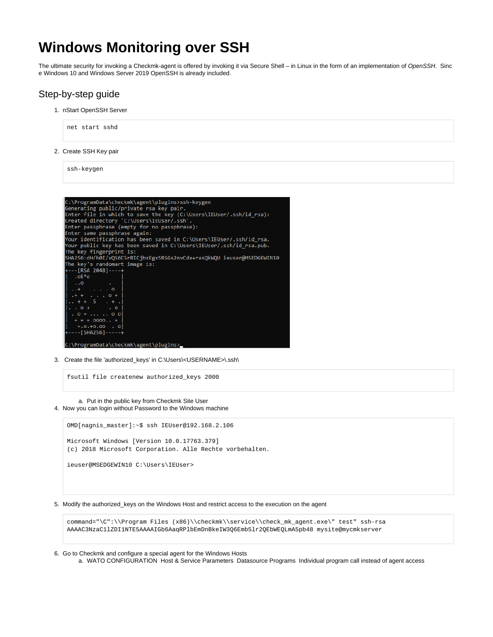# **Windows Monitoring over SSH**

The ultimate security for invoking a Checkmk-agent is offered by invoking it via Secure Shell – in Linux in the form of an implementation of OpenSSH. Sinc e Windows 10 and Windows Server 2019 OpenSSH is already included.

## Step-by-step guide

1. nStart OpenSSH Server



2. Create SSH Key pair

ssh-keygen



3. Create the file 'authorized\_keys' in C:\Users\<USERNAME>\.ssh\

fsutil file createnew authorized\_keys 2000

a. Put in the public key from Checkmk Site User 4. Now you can login without Password to the Windows machine

OMD[nagnis\_master]:~\$ ssh IEUser@192.168.2.106 Microsoft Windows [Version 10.0.17763.379] (c) 2018 Microsoft Corporation. Alle Rechte vorbehalten. ieuser@MSEDGEWIN10 C:\Users\IEUser>

5. Modify the authorized\_keys on the Windows Host and restrict access to the execution on the agent

command="\C":\\Program Files (x86)\\checkmk\\service\\check\_mk\_agent.exe\" test" ssh-rsa AAAAC3NzaC1lZDI1NTE5AAAAIGb6AaqRPlbEmDnBkeIW3Q6Emb5lr2QEbWEQLmA5pb48 mysite@mycmkserver

6. Go to Checkmk and configure a special agent for the Windows Hosts

G)

a. WATO CONFIGURATION Host & Service Parameters Datasource Programs Individual program call instead of agent access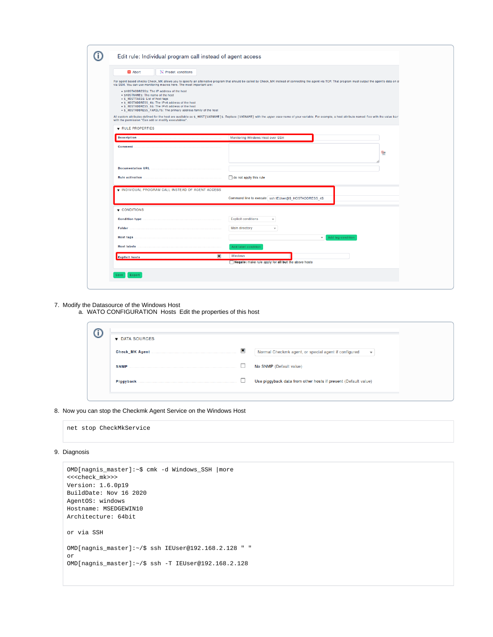| <b>X</b> Abort<br>Predef. conditions                                                                                                                                                                                                |                                                                                                                                                                                                         |                |
|-------------------------------------------------------------------------------------------------------------------------------------------------------------------------------------------------------------------------------------|---------------------------------------------------------------------------------------------------------------------------------------------------------------------------------------------------------|----------------|
| via SSH. You can use monitoring macros here. The most important are:                                                                                                                                                                | For agent based checks Check_MK allows you to specify an alternative program that should be called by Check_MK instead of connecting the agent via TCP. That program must output the agent's data on st |                |
| • SHOSTADDRESSS: The IP address of the host<br>· SHOSTNAMES: The name of the host<br>• \$ HOSTTAGS\$: List of host tags<br>. \$ HOSTADDRESS 4\$: The IPv4 address of the host<br>• \$ HOSTADDRESS 6\$: The IPv6 address of the host |                                                                                                                                                                                                         |                |
| . \$ HOSTADDRESS FAMILY\$: The primary address family of the host                                                                                                                                                                   | All custom attributes defined for the host are available as \$ HOST[VARNAME]\$. Replace [VARNAME] with the upper case name of your variable. For example, a host attribute named foo with the value bar |                |
| with the permission "Can add or modify executables".<br>RULE PROPERTIES                                                                                                                                                             |                                                                                                                                                                                                         |                |
| <b>Description</b>                                                                                                                                                                                                                  | Monitoring Windows Host over SSH                                                                                                                                                                        |                |
| Comment                                                                                                                                                                                                                             |                                                                                                                                                                                                         | $\mathbf{Q}_n$ |
|                                                                                                                                                                                                                                     |                                                                                                                                                                                                         |                |
| <b>Documentation URL</b>                                                                                                                                                                                                            |                                                                                                                                                                                                         |                |
| <b>Rule activation</b>                                                                                                                                                                                                              | $\Box$ do not apply this rule                                                                                                                                                                           |                |
| V INDIVIDUAL PROGRAM CALL INSTEAD OF AGENT ACCESS                                                                                                                                                                                   |                                                                                                                                                                                                         |                |
|                                                                                                                                                                                                                                     | Command line to execute ssh IEUser@\$_HOSTADDRESS_4\$                                                                                                                                                   |                |
| $\blacktriangledown$ CONDITIONS                                                                                                                                                                                                     |                                                                                                                                                                                                         |                |
| <b>Condition type</b>                                                                                                                                                                                                               | <b>Explicit conditions</b><br>$\overline{\mathbf{v}}$                                                                                                                                                   |                |
| Folder                                                                                                                                                                                                                              | <b>Main directory</b><br>$\overline{\mathbf v}$                                                                                                                                                         |                |
|                                                                                                                                                                                                                                     | Add tag condition<br>$\overline{\mathbf{v}}$                                                                                                                                                            |                |
| <b>Host tags</b>                                                                                                                                                                                                                    |                                                                                                                                                                                                         |                |
| <b>Host labels</b>                                                                                                                                                                                                                  | Add label condition                                                                                                                                                                                     |                |

### 7. Modify the Datasource of the Windows Host

a. WATO CONFIGURATION Hosts Edit the properties of this host

| DATA SOURCES          |              |                                                                                 |  |  |
|-----------------------|--------------|---------------------------------------------------------------------------------|--|--|
| <b>Check MK Agent</b> | $\mathbf{x}$ | Normal Checkmk agent, or special agent if configured<br>$\overline{\mathbf{v}}$ |  |  |
| <b>SNMP</b>           |              | No SNMP (Default value)                                                         |  |  |
| <b>Piggyback</b>      |              | Use piggyback data from other hosts if present (Default value)                  |  |  |
|                       |              |                                                                                 |  |  |

#### 8. Now you can stop the Checkmk Agent Service on the Windows Host

net stop CheckMkService

### 9. Diagnosis

```
OMD[nagnis_master]:~$ cmk -d Windows_SSH |more
<<<check_mk>>>
Version: 1.6.0p19
BuildDate: Nov 16 2020
AgentOS: windows
Hostname: MSEDGEWIN10
Architecture: 64bit
or via SSH
OMD[nagnis_master]:~/$ ssh IEUser@192.168.2.128 " "
or
OMD[nagnis_master]:~/$ ssh -T IEUser@192.168.2.128
```